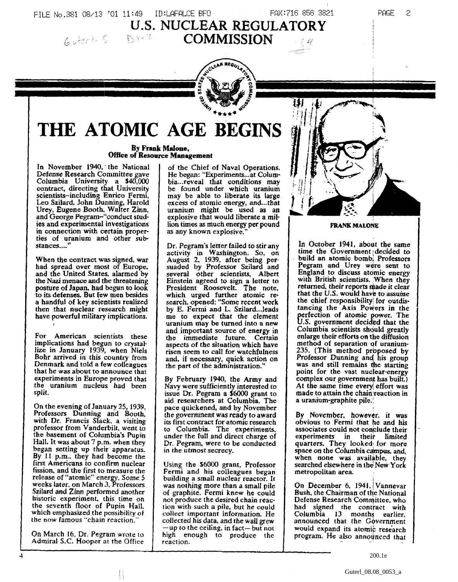FILE No.381 08/13 '01 11:49 ID:LAFALCE BFO FAX:716 856 3821 **U.S. NUCLEAR REGULATORY**<br> **COMMISSION 6** Jerit 5 **D** 1-2



# **THE ATOMIC AGE BEGINS**

**By Frank Malone, Office of Resource Management**

In November 1940,' the National Defense Research Committee gave Columbia University a \$40,000 contract, directing that University scientists-including Enrico Fermi, Leo Szilard. John Dunning, Harold Urey, Eugene Booth, Waiter Zinn, and George Pegram-"conduct studies and experimental investigations in connection with certain properties of uranium and other substances...."

When the contract was signed, war had spread over most of Europe, and the United States, alarmed by the Nazi menace and the threatening posture of Japan, had begun to look to its defenses. But few men besides a handful of key scientists realized then that nuclear research might have powerful military implications.

For American scientists these implications had begun to crystallize in January 1939, when Niels Bohr arrived in this country from Denmark and told a few colleagues that he was about to announce that experiments in Europe proved that the uranium nucleus had been split.

On the evening of January 25, 1939, Professors Dunning and Booth, with Dr. Francis Slack, a visiting professor from Vanderbik. went to the basement of Columbia's Pupin Hall. It was about 7 p.m. when they began setting up their apparatus. By 11 p.m., they had become the first Americans to confirm nuclear fission, and the first to measure the release of "atomic" energy. Some 5 weeks later, on March 3, Professors Szilard and Zinn performed another historic experiment, this time on the seventh floor of Pupin Hall, which emphasized the possibility of the now famous "chain reaction.

On March 16, Dr. Pegram wrote to Admiral *S.C.* Hooper at the Office

 $\mathbb{N}$ 

4

of the Chief of Naval Operations, He began: "Experiments—at Columbia...reveal that conditions may be found under which uranium may be able to liberate its large excess of atomic energy, and...that uranium might be used as an explosive that would liberate a million times as much energy per pound as any known explosive.

Dr. Pegram's letter failed to stir any activity in Washington. So, on August 2, 1939, after being persuaded by Professor Szilard and several other scientists, Albert Einstein agreed to sign a letter to President Roosevelt. The note, which urged further atomic research, opened: "Some recent work by E. Fermi and L. Szilard...leads me to expect that the element uranium may be turned into a new and important source of energy in the immediate future. Certain aspects of the situation which have risen seem to call for watchfulness and. if necessary, quick action on the part of the administration."

By February 1940, the Army and Navy were sufficiently interested to issue Dr. Pegram a \$6000 grant to aid researchers at Columbia. The pace quickened, and by November the government was ready to award its first contract for atomic research to Columbia. The experiments, under the full and direct charge of Dr. Pegram, were to be conducted in the utmost secrecy.

Using the \$6000 grant, Professor Fermi and his colleagues began building a small nuclear reactor. It was nothing more than a small pile of graphite. Fermi knew he could not produce the desired chain reaction with such a pile, but he could collect important information. He collected his data, and the wall grew — up to the ceiling, in fact—but noi high enough to produce the reaction.



PAGE 2

#### FRANK MALONE

In October 1941, about the same time the Government decided to build an atomic bomb; Professors Pegram and Urey were sent to England to discuss atomic energy with British scientists. When they returned, their reports made it clear that the *U.S.* would have to assume the chief responsibility! for outdistancing the Axis Powers in the perfection of atomic power. The U.S. government decided that the Columbia scientists should greatly enlarge their efforts on the diffusion method of separation of uranium-235. (This method proposed by Professor Dunning and his group was and still remains the starting point for the vast nuclear-energy complex our government has built.) At the same time every effort was made to attain the chain reaction in a uranium-graphite pile.;

By November, however, it was obvious to Fermi that he and his associates could not conclude their experiments in their limited quarters. They looked; for more space on the Columbia campus, and, when none was available, they searched elsewhere in the New York metropolitan area.

On December 6, 1941, Vannevar Bush, the Chairman of the National Defense Research Comnjittee. who had signed the contract with Columbia 13 months earlier, announced that the Government would expand its atomic research program. He also announced that